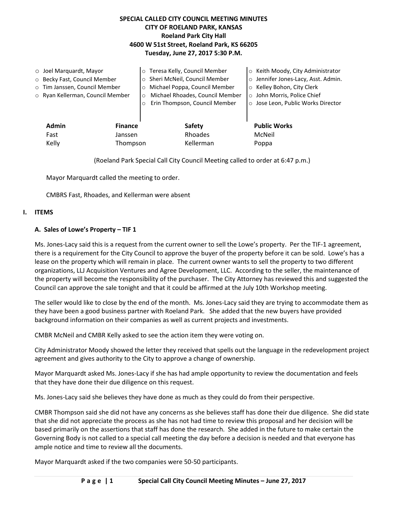# **SPECIAL CALLED CITY COUNCIL MEETING MINUTES CITY OF ROELAND PARK, KANSAS Roeland Park City Hall 4600 W 51st Street, Roeland Park, KS 66205 Tuesday, June 27, 2017 5:30 P.M.**

|                                | $\circ$ Joel Marquardt, Mayor    |         | o Teresa Kelly, Council Member             | ○ Keith Moody, City Administrator   |
|--------------------------------|----------------------------------|---------|--------------------------------------------|-------------------------------------|
|                                | O Becky Fast, Council Member     |         | o Sheri McNeil, Council Member             | o Jennifer Jones-Lacy, Asst. Admin. |
|                                | o Tim Janssen, Council Member    |         | o Michael Poppa, Council Member            | ○ Kelley Bohon, City Clerk          |
|                                | ○ Ryan Kellerman, Council Member |         | Michael Rhoades, Council Member<br>$\circ$ | ○ John Morris, Police Chief         |
|                                |                                  |         | Erin Thompson, Council Member<br>$\circ$   | ○ Jose Leon, Public Works Director  |
|                                |                                  |         |                                            |                                     |
| <b>Admin</b><br><b>Finance</b> |                                  |         | Safety                                     | <b>Public Works</b>                 |
|                                | Fast                             | Janssen | Rhoades                                    | McNeil                              |
|                                | Kelly<br>Thompson                |         | Kellerman                                  | Poppa                               |
|                                |                                  |         |                                            |                                     |

(Roeland Park Special Call City Council Meeting called to order at 6:47 p.m.)

Mayor Marquardt called the meeting to order.

CMBRS Fast, Rhoades, and Kellerman were absent

### **I. ITEMS**

### **A. Sales of Lowe's Property – TIF 1**

Ms. Jones-Lacy said this is a request from the current owner to sell the Lowe's property. Per the TIF-1 agreement, there is a requirement for the City Council to approve the buyer of the property before it can be sold. Lowe's has a lease on the property which will remain in place. The current owner wants to sell the property to two different organizations, LLJ Acquisition Ventures and Agree Development, LLC. According to the seller, the maintenance of the property will become the responsibility of the purchaser. The City Attorney has reviewed this and suggested the Council can approve the sale tonight and that it could be affirmed at the July 10th Workshop meeting.

The seller would like to close by the end of the month. Ms. Jones-Lacy said they are trying to accommodate them as they have been a good business partner with Roeland Park. She added that the new buyers have provided background information on their companies as well as current projects and investments.

CMBR McNeil and CMBR Kelly asked to see the action item they were voting on.

City Administrator Moody showed the letter they received that spells out the language in the redevelopment project agreement and gives authority to the City to approve a change of ownership.

Mayor Marquardt asked Ms. Jones-Lacy if she has had ample opportunity to review the documentation and feels that they have done their due diligence on this request.

Ms. Jones-Lacy said she believes they have done as much as they could do from their perspective.

CMBR Thompson said she did not have any concerns as she believes staff has done their due diligence. She did state that she did not appreciate the process as she has not had time to review this proposal and her decision will be based primarily on the assertions that staff has done the research. She added in the future to make certain the Governing Body is not called to a special call meeting the day before a decision is needed and that everyone has ample notice and time to review all the documents.

Mayor Marquardt asked if the two companies were 50-50 participants.